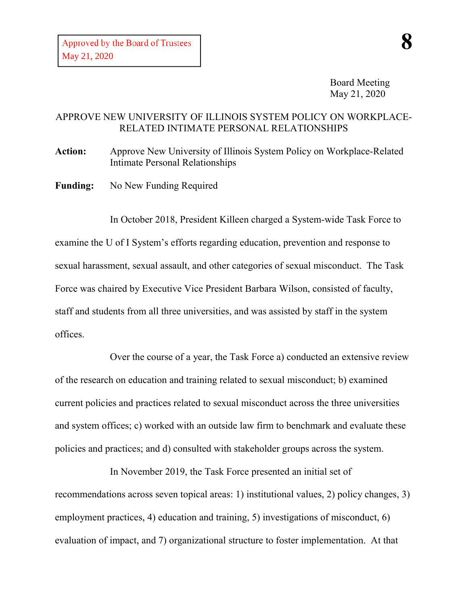Board Meeting May 21, 2020

## APPROVE NEW UNIVERSITY OF ILLINOIS SYSTEM POLICY ON WORKPLACE-RELATED INTIMATE PERSONAL RELATIONSHIPS

**Action:** Approve New University of Illinois System Policy on Workplace-Related Intimate Personal Relationships

Funding: No New Funding Required

In October 2018, President Killeen charged a System-wide Task Force to examine the U of I System's efforts regarding education, prevention and response to sexual harassment, sexual assault, and other categories of sexual misconduct. The Task Force was chaired by Executive Vice President Barbara Wilson, consisted of faculty, staff and students from all three universities, and was assisted by staff in the system offices.

Over the course of a year, the Task Force a) conducted an extensive review of the research on education and training related to sexual misconduct; b) examined current policies and practices related to sexual misconduct across the three universities and system offices; c) worked with an outside law firm to benchmark and evaluate these policies and practices; and d) consulted with stakeholder groups across the system.

In November 2019, the Task Force presented an initial set of recommendations across seven topical areas: 1) institutional values, 2) policy changes, 3) employment practices, 4) education and training, 5) investigations of misconduct, 6) evaluation of impact, and 7) organizational structure to foster implementation. At that